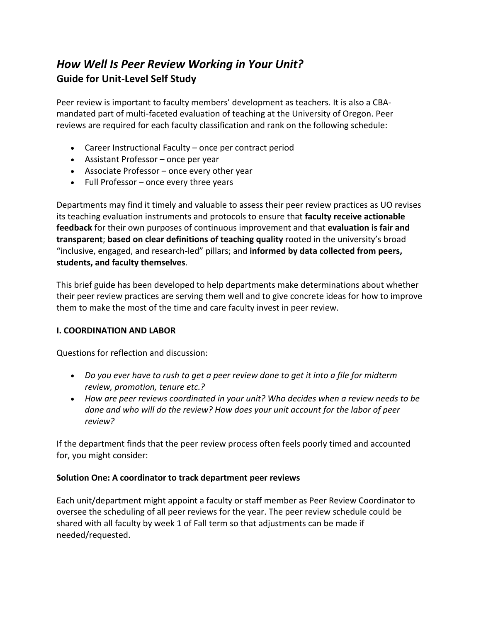# *How Well Is Peer Review Working in Your Unit?*  **Guide for Unit-Level Self Study**

Peer review is important to faculty members' development as teachers. It is also a CBAmandated part of multi-faceted evaluation of teaching at the University of Oregon. Peer reviews are required for each faculty classification and rank on the following schedule:

- Career Instructional Faculty once per contract period
- Assistant Professor once per year
- Associate Professor once every other year
- Full Professor once every three years

Departments may find it timely and valuable to assess their peer review practices as UO revises its teaching evaluation instruments and protocols to ensure that **faculty receive actionable feedback** for their own purposes of continuous improvement and that **evaluation is fair and transparent**; **based on clear definitions of teaching quality** rooted in the university's broad "inclusive, engaged, and research-led" pillars; and **informed by data collected from peers, students, and faculty themselves**.

This brief guide has been developed to help departments make determinations about whether their peer review practices are serving them well and to give concrete ideas for how to improve them to make the most of the time and care faculty invest in peer review.

# **I. COORDINATION AND LABOR**

Questions for reflection and discussion:

- *Do you ever have to rush to get a peer review done to get it into a file for midterm review, promotion, tenure etc.?*
- *How are peer reviews coordinated in your unit? Who decides when a review needs to be done and who will do the review? How does your unit account for the labor of peer review?*

If the department finds that the peer review process often feels poorly timed and accounted for, you might consider:

# **Solution One: A coordinator to track department peer reviews**

Each unit/department might appoint a faculty or staff member as Peer Review Coordinator to oversee the scheduling of all peer reviews for the year. The peer review schedule could be shared with all faculty by week 1 of Fall term so that adjustments can be made if needed/requested.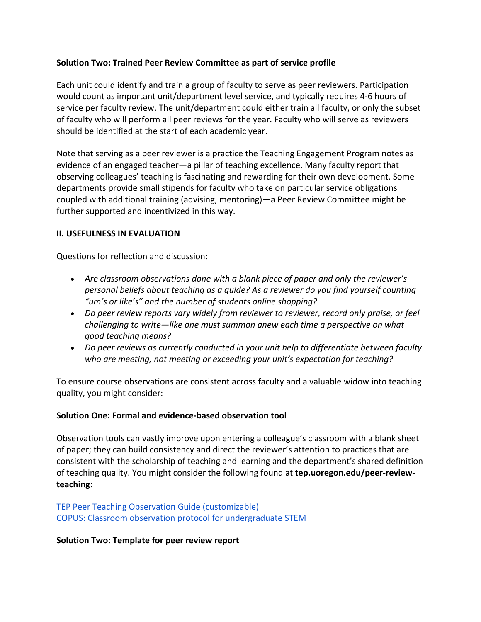## **Solution Two: Trained Peer Review Committee as part of service profile**

Each unit could identify and train a group of faculty to serve as peer reviewers. Participation would count as important unit/department level service, and typically requires 4-6 hours of service per faculty review. The unit/department could either train all faculty, or only the subset of faculty who will perform all peer reviews for the year. Faculty who will serve as reviewers should be identified at the start of each academic year.

Note that serving as a peer reviewer is a practice the Teaching Engagement Program notes as evidence of an engaged teacher—a pillar of teaching excellence. Many faculty report that observing colleagues' teaching is fascinating and rewarding for their own development. Some departments provide small stipends for faculty who take on particular service obligations coupled with additional training (advising, mentoring)—a Peer Review Committee might be further supported and incentivized in this way.

## **II. USEFULNESS IN EVALUATION**

Questions for reflection and discussion:

- *Are classroom observations done with a blank piece of paper and only the reviewer's personal beliefs about teaching as a guide? As a reviewer do you find yourself counting "um's or like's" and the number of students online shopping?*
- *Do peer review reports vary widely from reviewer to reviewer, record only praise, or feel challenging to write—like one must summon anew each time a perspective on what good teaching means?*
- *Do peer reviews as currently conducted in your unit help to differentiate between faculty who are meeting, not meeting or exceeding your unit's expectation for teaching?*

To ensure course observations are consistent across faculty and a valuable widow into teaching quality, you might consider:

## **Solution One: Formal and evidence-based observation tool**

Observation tools can vastly improve upon entering a colleague's classroom with a blank sheet of paper; they can build consistency and direct the reviewer's attention to practices that are consistent with the scholarship of teaching and learning and the department's shared definition of teaching quality. You might consider the following found at **tep.uoregon.edu/peer-reviewteaching**:

# TEP Peer Teaching Observation Guide (customizable) COPUS: Classroom observation protocol for undergraduate STEM

#### **Solution Two: Template for peer review report**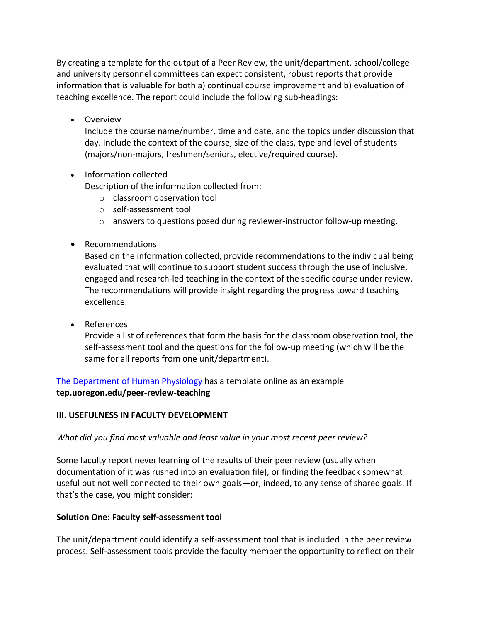By creating a template for the output of a Peer Review, the unit/department, school/college and university personnel committees can expect consistent, robust reports that provide information that is valuable for both a) continual course improvement and b) evaluation of teaching excellence. The report could include the following sub-headings:

• Overview

Include the course name/number, time and date, and the topics under discussion that day. Include the context of the course, size of the class, type and level of students (majors/non-majors, freshmen/seniors, elective/required course).

• Information collected

Description of the information collected from:

- o classroom observation tool
- o self-assessment tool
- $\circ$  answers to questions posed during reviewer-instructor follow-up meeting.
- Recommendations

Based on the information collected, provide recommendations to the individual being evaluated that will continue to support student success through the use of inclusive, engaged and research-led teaching in the context of the specific course under review. The recommendations will provide insight regarding the progress toward teaching excellence.

• References

Provide a list of references that form the basis for the classroom observation tool, the self-assessment tool and the questions for the follow-up meeting (which will be the same for all reports from one unit/department).

The Department of Human Physiology has a template online as an example **tep.uoregon.edu/peer-review-teaching** 

# **III. USEFULNESS IN FACULTY DEVELOPMENT**

*What did you find most valuable and least value in your most recent peer review?* 

Some faculty report never learning of the results of their peer review (usually when documentation of it was rushed into an evaluation file), or finding the feedback somewhat useful but not well connected to their own goals—or, indeed, to any sense of shared goals. If that's the case, you might consider:

# **Solution One: Faculty self-assessment tool**

The unit/department could identify a self-assessment tool that is included in the peer review process. Self-assessment tools provide the faculty member the opportunity to reflect on their